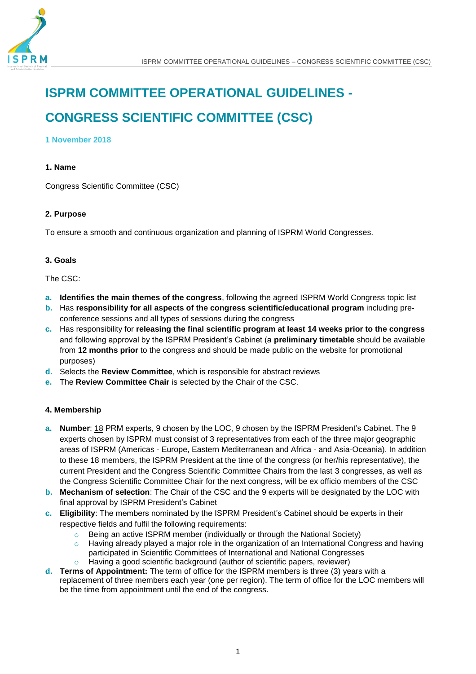

# **ISPRM COMMITTEE OPERATIONAL GUIDELINES -**

## **CONGRESS SCIENTIFIC COMMITTEE (CSC)**

### **1 November 2018**

## **1. Name**

Congress Scientific Committee (CSC)

## **2. Purpose**

To ensure a smooth and continuous organization and planning of ISPRM World Congresses.

## **3. Goals**

#### The CSC:

- **a. Identifies the main themes of the congress**, following the agreed ISPRM World Congress topic list
- **b.** Has **responsibility for all aspects of the congress scientific/educational program** including preconference sessions and all types of sessions during the congress
- **c.** Has responsibility for **releasing the final scientific program at least 14 weeks prior to the congress** and following approval by the ISPRM President's Cabinet (a **preliminary timetable** should be available from **12 months prior** to the congress and should be made public on the website for promotional purposes)
- **d.** Selects the **Review Committee**, which is responsible for abstract reviews
- **e.** The **Review Committee Chair** is selected by the Chair of the CSC.

## **4. Membership**

- **a. Number**: 18 PRM experts, 9 chosen by the LOC, 9 chosen by the ISPRM President's Cabinet. The 9 experts chosen by ISPRM must consist of 3 representatives from each of the three major geographic areas of ISPRM (Americas - Europe, Eastern Mediterranean and Africa - and Asia-Oceania). In addition to these 18 members, the ISPRM President at the time of the congress (or her/his representative), the current President and the Congress Scientific Committee Chairs from the last 3 congresses, as well as the Congress Scientific Committee Chair for the next congress, will be ex officio members of the CSC
- **b. Mechanism of selection**: The Chair of the CSC and the 9 experts will be designated by the LOC with final approval by ISPRM President's Cabinet
- **c. Eligibility**: The members nominated by the ISPRM President's Cabinet should be experts in their respective fields and fulfil the following requirements:
	- o Being an active ISPRM member (individually or through the National Society)
	- $\circ$  Having already played a major role in the organization of an International Congress and having participated in Scientific Committees of International and National Congresses
	- o Having a good scientific background (author of scientific papers, reviewer)
- **d. Terms of Appointment:** The term of office for the ISPRM members is three (3) years with a replacement of three members each year (one per region). The term of office for the LOC members will be the time from appointment until the end of the congress.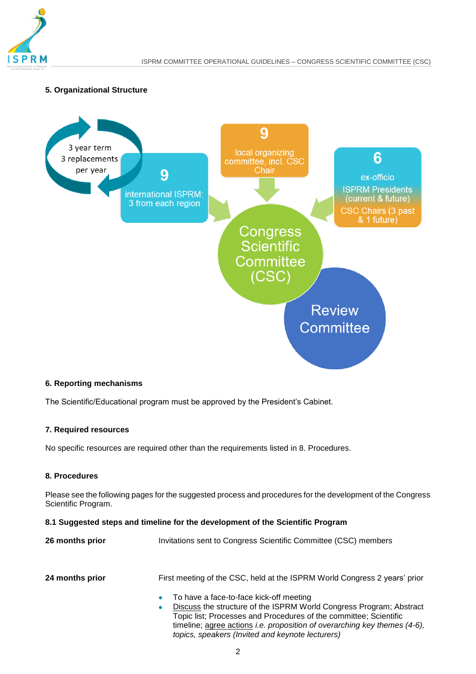

### **5. Organizational Structure**



## **6. Reporting mechanisms**

The Scientific/Educational program must be approved by the President's Cabinet.

## **7. Required resources**

No specific resources are required other than the requirements listed in 8. Procedures.

#### **8. Procedures**

Please see the following pages for the suggested process and procedures for the development of the Congress Scientific Program.

## **8.1 Suggested steps and timeline for the development of the Scientific Program**

| 26 months prior | Invitations sent to Congress Scientific Committee (CSC) members                                                                                                                                                                                                                    |  |  |  |  |
|-----------------|------------------------------------------------------------------------------------------------------------------------------------------------------------------------------------------------------------------------------------------------------------------------------------|--|--|--|--|
| 24 months prior | First meeting of the CSC, held at the ISPRM World Congress 2 years' prior                                                                                                                                                                                                          |  |  |  |  |
|                 | To have a face-to-face kick-off meeting<br>۰<br>Discuss the structure of the ISPRM World Congress Program; Abstract<br>۰<br>Topic list; Processes and Procedures of the committee; Scientific<br>timeline; agree actions <i>i.e. proposition of overarching key themes (4-6)</i> , |  |  |  |  |

*topics, speakers (Invited and keynote lecturers)*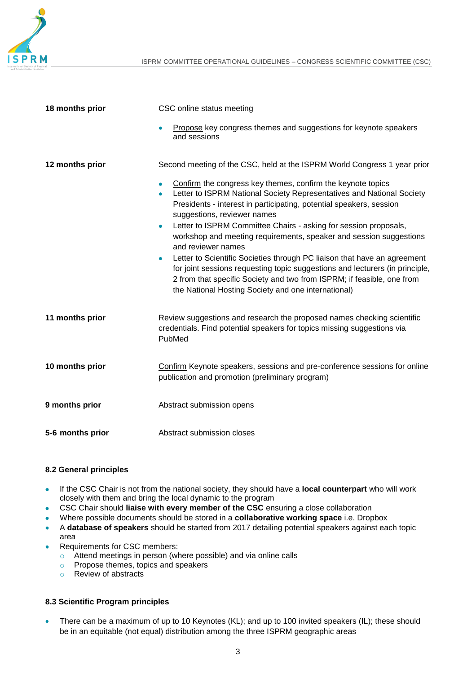

| 18 months prior  | CSC online status meeting                                                                                                                                                                                                                                                                              |  |  |  |
|------------------|--------------------------------------------------------------------------------------------------------------------------------------------------------------------------------------------------------------------------------------------------------------------------------------------------------|--|--|--|
|                  | Propose key congress themes and suggestions for keynote speakers<br>and sessions                                                                                                                                                                                                                       |  |  |  |
| 12 months prior  | Second meeting of the CSC, held at the ISPRM World Congress 1 year prior                                                                                                                                                                                                                               |  |  |  |
|                  | Confirm the congress key themes, confirm the keynote topics<br>۰<br>Letter to ISPRM National Society Representatives and National Society<br>$\bullet$<br>Presidents - interest in participating, potential speakers, session<br>suggestions, reviewer names                                           |  |  |  |
|                  | Letter to ISPRM Committee Chairs - asking for session proposals,<br>$\bullet$<br>workshop and meeting requirements, speaker and session suggestions<br>and reviewer names                                                                                                                              |  |  |  |
|                  | Letter to Scientific Societies through PC liaison that have an agreement<br>$\bullet$<br>for joint sessions requesting topic suggestions and lecturers (in principle,<br>2 from that specific Society and two from ISPRM; if feasible, one from<br>the National Hosting Society and one international) |  |  |  |
| 11 months prior  | Review suggestions and research the proposed names checking scientific<br>credentials. Find potential speakers for topics missing suggestions via<br>PubMed                                                                                                                                            |  |  |  |
| 10 months prior  | Confirm Keynote speakers, sessions and pre-conference sessions for online<br>publication and promotion (preliminary program)                                                                                                                                                                           |  |  |  |
| 9 months prior   | Abstract submission opens                                                                                                                                                                                                                                                                              |  |  |  |
| 5-6 months prior | Abstract submission closes                                                                                                                                                                                                                                                                             |  |  |  |

### **8.2 General principles**

- If the CSC Chair is not from the national society, they should have a **local counterpart** who will work closely with them and bring the local dynamic to the program
- CSC Chair should **liaise with every member of the CSC** ensuring a close collaboration
- Where possible documents should be stored in a **collaborative working space** i.e. Dropbox
- A **database of speakers** should be started from 2017 detailing potential speakers against each topic area
- Requirements for CSC members:
	- o Attend meetings in person (where possible) and via online calls
	- o Propose themes, topics and speakers
	- o Review of abstracts

## **8.3 Scientific Program principles**

• There can be a maximum of up to 10 Keynotes (KL); and up to 100 invited speakers (IL); these should be in an equitable (not equal) distribution among the three ISPRM geographic areas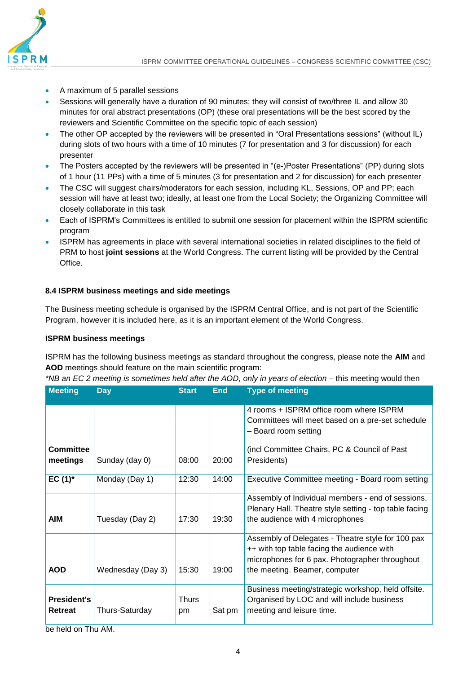

- A maximum of 5 parallel sessions
- Sessions will generally have a duration of 90 minutes; they will consist of two/three IL and allow 30 minutes for oral abstract presentations (OP) (these oral presentations will be the best scored by the reviewers and Scientific Committee on the specific topic of each session)
- The other OP accepted by the reviewers will be presented in "Oral Presentations sessions" (without IL) during slots of two hours with a time of 10 minutes (7 for presentation and 3 for discussion) for each presenter
- The Posters accepted by the reviewers will be presented in "(e-)Poster Presentations" (PP) during slots of 1 hour (11 PPs) with a time of 5 minutes (3 for presentation and 2 for discussion) for each presenter
- The CSC will suggest chairs/moderators for each session, including KL, Sessions, OP and PP; each session will have at least two; ideally, at least one from the Local Society; the Organizing Committee will closely collaborate in this task
- Each of ISPRM's Committees is entitled to submit one session for placement within the ISPRM scientific program
- ISPRM has agreements in place with several international societies in related disciplines to the field of PRM to host **joint sessions** at the World Congress. The current listing will be provided by the Central Office.

## **8.4 ISPRM business meetings and side meetings**

The Business meeting schedule is organised by the ISPRM Central Office, and is not part of the Scientific Program, however it is included here, as it is an important element of the World Congress.

## **ISPRM business meetings**

ISPRM has the following business meetings as standard throughout the congress, please note the **AIM** and **AOD** meetings should feature on the main scientific program:

*\*NB an EC 2 meeting is sometimes held after the AOD, only in years of election* – this meeting would then

| <b>Meeting</b>                | <b>Day</b>        | <b>Start</b>       | <b>End</b> | <b>Type of meeting</b>                                                                                                                                                              |
|-------------------------------|-------------------|--------------------|------------|-------------------------------------------------------------------------------------------------------------------------------------------------------------------------------------|
| Committee<br>meetings         | Sunday (day 0)    | 08:00              | 20:00      | 4 rooms + ISPRM office room where ISPRM<br>Committees will meet based on a pre-set schedule<br>- Board room setting<br>(incl Committee Chairs, PC & Council of Past)<br>Presidents) |
| $EC(1)^*$                     | Monday (Day 1)    | 12:30              | 14:00      | Executive Committee meeting - Board room setting                                                                                                                                    |
| AIM                           | Tuesday (Day 2)   | 17:30              | 19:30      | Assembly of Individual members - end of sessions,<br>Plenary Hall. Theatre style setting - top table facing<br>the audience with 4 microphones                                      |
| <b>AOD</b>                    | Wednesday (Day 3) | 15:30              | 19:00      | Assembly of Delegates - Theatre style for 100 pax<br>++ with top table facing the audience with<br>microphones for 6 pax. Photographer throughout<br>the meeting. Beamer, computer  |
| <b>President's</b><br>Retreat | Thurs-Saturday    | <b>Thurs</b><br>pm | Sat pm     | Business meeting/strategic workshop, held offsite.<br>Organised by LOC and will include business<br>meeting and leisure time.                                                       |

be held on Thu AM.